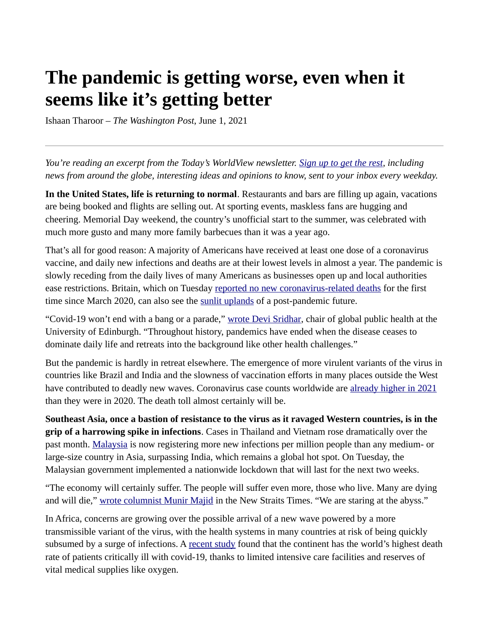## **The pandemic is getting worse, even when it seems like it's getting better**

Ishaan Tharoor – *The Washington Post*, June 1, 2021

*You're reading an excerpt from the Today's WorldView newsletter. [Sign up to get the rest,](https://subscribe.washingtonpost.com/newsletters/#/bundle/todaysworldview?method=SURL&location=ART&initiative=HDR2&itid=lk_inline_manual_1&itid=lk_inline_manual_1&itid=lk_inline_manual_1&itid=lk_inline_manual_1&itid=lk_inline_manual_1&itid=lk_inline_manual_1&itid=lk_inline_manual_1&itid=lk_inline_manual_1&itid=lk_inline_manual_1&itid=lk_inline_manual_1&itid=lk_inline_manual_1&itid=lk_inline_manual_1&itid=lk_inline_manual_1&itid=lk_inline_manual_1&itid=lk_inline_manual_1&itid=lk_inline_manual_1&itid=lk_inline_manual_1&itid=lk_inline_manual_1&itid=lk_inline_manual_1&itid=lk_inline_manual_1&itid=lk_inline_manual_1&itid=lk_inline_manual_1&itid=lk_inline_manual_1&itid=lk_inline_manual_1&itid=lk_inline_manual_1&itid=lk_inline_manual_1&itid=lk_inline_manual_1&itid=lk_inline_manual_1&itid=lk_inline_manual_1&itid=lk_inline_manual_1&itid=lk_inline_manual_1&itid=lk_inline_manual_1&itid=lk_inline_manual_1&itid=lk_inline_manual_1&itid=lk_inline_manual_1&itid=lk_inline_manual_1&itid=lk_inline_manual_1&itid=lk_inline_manual_1&itid=lk_inline_manual_1&itid=lk_inline_manual_1&itid=lk_inline_manual_1&itid=lk_inline_manual_1&itid=lk_inline_manual_1&itid=lk_inline_manual_1&itid=lk_inline_manual_1&itid=lk_inline_manual_1&itid=lk_inline_manual_1&itid=lk_inline_manual_1&itid=lk_inline_manual_1&itid=lk_inline_manual_1&itid=lk_inline_manual_1&itid=lk_inline_manual_1&itid=lk_inline_manual_1&itid=lk_inline_manual_1&itid=lk_inline_manual_1&itid=lk_inline_manual_1&itid=lk_inline_manual_1&itid=lk_inline_manual_1&itid=lk_inline_manual_1&itid=lk_inline_manual_1&itid=lk_inline_manual_1&itid=lk_inline_manual_1&itid=lk_inline_manual_1&itid=lk_inline_manual_1&itid=lk_inline_manual_1&itid=lk_inline_manual_1&itid=lk_inline_manual_1&itid=lk_inline_manual_1&itid=lk_inline_manual_1&itid=lk_inline_manual_1&itid=lk_inline_manual_1&itid=lk_inline_manual_1&itid=lk_inline_manual_1&itid=lk_inline_manual_1&itid=lk_inline_manual_1&itid=lk_inline_manual_1&itid=lk_inline_manual_1&itid=lk_inline_manual_1&itid=lk_inline_manual_1&itid=lk_inline_manual_1&itid=lk_inline_manual_1&itid=lk_inline_manual_1&itid=lk_inline_manual_1&itid=lk_inline_manual_1&itid=lk_inline_manual_1&itid=lk_inline_manual_1&itid=lk_inline_manual_1&itid=lk_inline_manual_1&itid=lk_inline_manual_1&itid=lk_inline_manual_1&itid=lk_inline_manual_1&itid=lk_inline_manual_1&itid=lk_inline_manual_1&itid=lk_inline_manual_1&itid=lk_inline_manual_1&itid=lk_inline_manual_1&itid=lk_inline_manual_1&itid=lk_inline_manual_1&itid=lk_inline_manual_1&itid=lk_inline_manual_1&itid=lk_inline_manual_1&itid=lk_inline_manual_2&itid=lk_inline_manual_1&itid=lk_inline_manual_1&itid=lk_inline_manual_1&itid=lk_inline_manual_2&itid=lk_inline_manual_1&itid=lk_inline_manual_1&itid=lk_inline_manual_1&itid=lk_inline_manual_1&itid=lk_inline_manual_1&itid=lk_inline_manual_1) including news from around the globe, interesting ideas and opinions to know, sent to your inbox every weekday.*

**In the United States, life is returning to normal**. Restaurants and bars are filling up again, vacations are being booked and flights are selling out. At sporting events, maskless fans are hugging and cheering. Memorial Day weekend, the country's unofficial start to the summer, was celebrated with much more gusto and many more family barbecues than it was a year ago.

That's all for good reason: A majority of Americans have received at least one dose of a coronavirus vaccine, and daily new infections and deaths are at their lowest levels in almost a year. The pandemic is slowly receding from the daily lives of many Americans as businesses open up and local authorities ease restrictions. Britain, which on Tuesday [reported no new coronavirus-related deaths](https://www.reuters.com/world/uk/uk-reports-no-new-covid-19-deaths-3165-new-infections-2021-06-01/) for the first time since March 2020, can also see the [sunlit uplands](https://www.economist.com/buttonwoods-notebook/2018/02/14/those-brexit-cliches-explained) of a post-pandemic future.

"Covid-19 won't end with a bang or a parade," [wrote Devi Sridhar](https://www.theguardian.com/commentisfree/2021/may/31/rich-countries-vaccines-covid-19-manageable-health-issue-pandemic), chair of global public health at the University of Edinburgh. "Throughout history, pandemics have ended when the disease ceases to dominate daily life and retreats into the background like other health challenges."

But the pandemic is hardly in retreat elsewhere. The emergence of more virulent variants of the virus in countries like Brazil and India and the slowness of vaccination efforts in many places outside the West have contributed to deadly new waves. Coronavirus case counts worldwide are [already higher in 2021](https://www.usatoday.com/in-depth/graphics/2021/05/25/covid-19-cases-worldwide-2021-surpasses-2020/5243310001/) than they were in 2020. The death toll almost certainly will be.

**Southeast Asia, once a bastion of resistance to the virus as it ravaged Western countries, is in the grip of a harrowing spike in infections**. Cases in Thailand and Vietnam rose dramatically over the past month. [Malaysia](https://www.washingtonpost.com/world/2021/05/31/malaysia-covid-virus-infections-lockdown/?itid=lk_inline_manual_10) is now registering more new infections per million people than any medium- or large-size country in Asia, surpassing India, which remains a global hot spot. On Tuesday, the Malaysian government implemented a nationwide lockdown that will last for the next two weeks.

"The economy will certainly suffer. The people will suffer even more, those who live. Many are dying and will die," [wrote columnist Munir Majid](https://www.nst.com.my/opinion/columnists/2021/05/694464/be-afraid-be-very-afraid) in the New Straits Times. "We are staring at the abyss."

In Africa, concerns are growing over the possible arrival of a new wave powered by a more transmissible variant of the virus, with the health systems in many countries at risk of being quickly subsumed by a surge of infections. A [recent study](https://www.scidev.net/sub-saharan-africa/news/africa-has-highest-covid-19-death-rate-of-critically-ill/) found that the continent has the world's highest death rate of patients critically ill with covid-19, thanks to limited intensive care facilities and reserves of vital medical supplies like oxygen.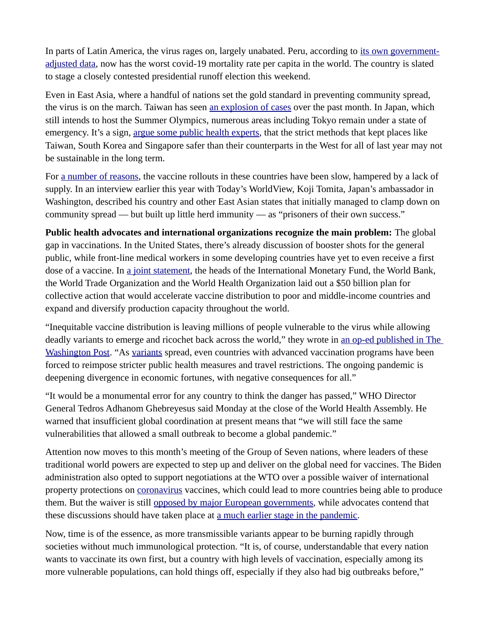In parts of Latin America, the virus rages on, largely unabated. Peru, according to [its own government](https://www.washingtonpost.com/nation/2021/06/01/coronavirus-covid-live-updates-us/#link-KF6BD64DEJCKDPAM7XJ3A2XFDE?itid=lk_inline_manual_16)[adjusted data,](https://www.washingtonpost.com/nation/2021/06/01/coronavirus-covid-live-updates-us/#link-KF6BD64DEJCKDPAM7XJ3A2XFDE?itid=lk_inline_manual_16) now has the worst covid-19 mortality rate per capita in the world. The country is slated to stage a closely contested presidential runoff election this weekend.

Even in East Asia, where a handful of nations set the gold standard in preventing community spread, the virus is on the march. Taiwan has seen [an explosion of cases](https://www.cnbc.com/2021/06/01/covid-public-health-prof-on-taiwan-outbreak-vaccination-progress.html) over the past month. In Japan, which still intends to host the Summer Olympics, numerous areas including Tokyo remain under a state of emergency. It's a sign, [argue some public health experts,](https://www.ft.com/content/9c0aaf96-28ed-4dee-88a9-38557a200813?desktop=true&segmentId=d8d3e364-5197-20eb-17cf-2437841d178a#myft:notification:instant-email:content) that the strict methods that kept places like Taiwan, South Korea and Singapore safer than their counterparts in the West for all of last year may not be sustainable in the long term.

For [a number of reasons](https://www.nytimes.com/2021/04/17/world/asia/japan-south-korea-australia-vaccines.html), the vaccine rollouts in these countries have been slow, hampered by a lack of supply. In an interview earlier this year with Today's WorldView, Koji Tomita, Japan's ambassador in Washington, described his country and other East Asian states that initially managed to clamp down on community spread — but built up little herd immunity — as "prisoners of their own success."

**Public health advocates and international organizations recognize the main problem:** The global gap in vaccinations. In the United States, there's already discussion of booster shots for the general public, while front-line medical workers in some developing countries have yet to even receive a first dose of a vaccine. In [a joint statement](https://www.washingtonpost.com/opinions/2021/05/31/why-we-are-calling-new-commitment-vaccine-equity-defeating-pandemic/?itid=lk_inline_manual_21), the heads of the International Monetary Fund, the World Bank, the World Trade Organization and the World Health Organization laid out a \$50 billion plan for collective action that would accelerate vaccine distribution to poor and middle-income countries and expand and diversify production capacity throughout the world.

"Inequitable vaccine distribution is leaving millions of people vulnerable to the virus while allowing deadly variants to emerge and ricochet back across the world," they wrote in [an op-ed published in The](https://www.washingtonpost.com/opinions/2021/05/31/why-we-are-calling-new-commitment-vaccine-equity-defeating-pandemic/?itid=lk_inline_manual_24)  [Washington Post](https://www.washingtonpost.com/opinions/2021/05/31/why-we-are-calling-new-commitment-vaccine-equity-defeating-pandemic/?itid=lk_inline_manual_24). "As [variants](https://www.washingtonpost.com/health/interactive/2021/01/25/covid-variants/?itid=lk_inline_manual_9&itid=lk_inline_manual_24) spread, even countries with advanced vaccination programs have been forced to reimpose stricter public health measures and travel restrictions. The ongoing pandemic is deepening divergence in economic fortunes, with negative consequences for all."

"It would be a monumental error for any country to think the danger has passed," WHO Director General Tedros Adhanom Ghebreyesus said Monday at the close of the World Health Assembly. He warned that insufficient global coordination at present means that "we will still face the same vulnerabilities that allowed a small outbreak to become a global pandemic."

Attention now moves to this month's meeting of the Group of Seven nations, where leaders of these traditional world powers are expected to step up and deliver on the global need for vaccines. The Biden administration also opted to support negotiations at the WTO over a possible waiver of international property protections on [coronavirus](https://www.washingtonpost.com/coronavirus/?itid=lk_inline_manual_27) vaccines, which could lead to more countries being able to produce them. But the waiver is still [opposed by major European governments](https://www.devex.com/news/europe-still-can-t-get-on-board-with-the-trips-waiver-100027), while advocates contend that these discussions should have taken place at [a much earlier stage in the pandemic.](https://www.thelancet.com/journals/lancet/article/PIIS0140-6736(21)01151-X/fulltext)

Now, time is of the essence, as more transmissible variants appear to be burning rapidly through societies without much immunological protection. "It is, of course, understandable that every nation wants to vaccinate its own first, but a country with high levels of vaccination, especially among its more vulnerable populations, can hold things off, especially if they also had big outbreaks before,"